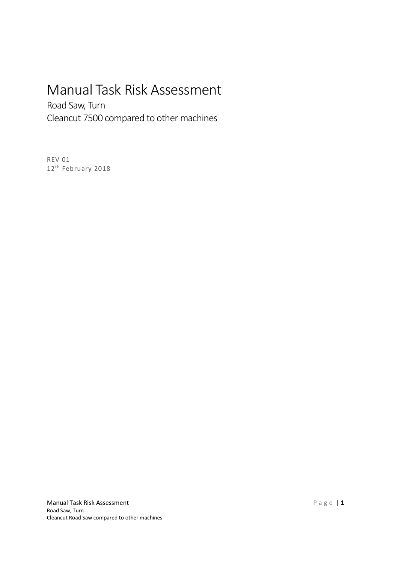# Manual Task Risk Assessment

Road Saw, Turn Cleancut 7500 compared to other machines

REV 01 12<sup>th</sup> February 2018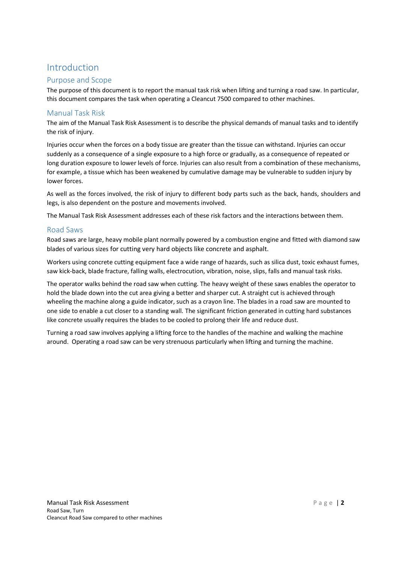# Introduction

### Purpose and Scope

The purpose of this document is to report the manual task risk when lifting and turning a road saw. In particular, this document compares the task when operating a Cleancut 7500 compared to other machines.

### Manual Task Risk

The aim of the Manual Task Risk Assessment is to describe the physical demands of manual tasks and to identify the risk of injury.

Injuries occur when the forces on a body tissue are greater than the tissue can withstand. Injuries can occur suddenly as a consequence of a single exposure to a high force or gradually, as a consequence of repeated or long duration exposure to lower levels of force. Injuries can also result from a combination of these mechanisms, for example, a tissue which has been weakened by cumulative damage may be vulnerable to sudden injury by lower forces.

As well as the forces involved, the risk of injury to different body parts such as the back, hands, shoulders and legs, is also dependent on the posture and movements involved.

The Manual Task Risk Assessment addresses each of these risk factors and the interactions between them.

#### Road Saws

Road saws are large, heavy mobile plant normally powered by a combustion engine and fitted with diamond saw blades of various sizes for cutting very hard objects like concrete and asphalt.

Workers using concrete cutting equipment face a wide range of hazards, such as silica dust, toxic exhaust fumes, saw kick-back, blade fracture, falling walls, electrocution, vibration, noise, slips, falls and manual task risks.

The operator walks behind the road saw when cutting. The heavy weight of these saws enables the operator to hold the blade down into the cut area giving a better and sharper cut. A straight cut is achieved through wheeling the machine along a guide indicator, such as a crayon line. The blades in a road saw are mounted to one side to enable a cut closer to a standing wall. The significant friction generated in cutting hard substances like concrete usually requires the blades to be cooled to prolong their life and reduce dust.

Turning a road saw involves applying a lifting force to the handles of the machine and walking the machine around. Operating a road saw can be very strenuous particularly when lifting and turning the machine.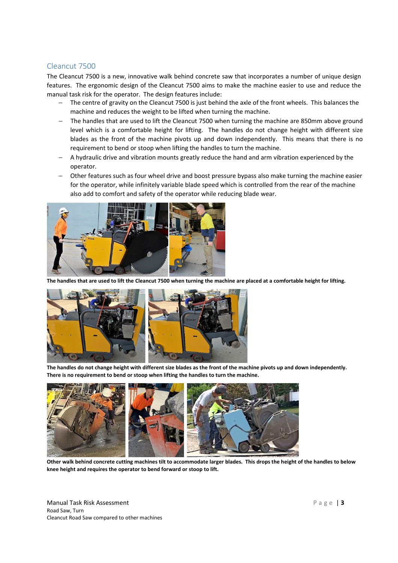### Cleancut 7500

The Cleancut 7500 is a new, innovative walk behind concrete saw that incorporates a number of unique design features. The ergonomic design of the Cleancut 7500 aims to make the machine easier to use and reduce the manual task risk for the operator. The design features include:

- The centre of gravity on the Cleancut 7500 is just behind the axle of the front wheels. This balances the machine and reduces the weight to be lifted when turning the machine.
- − The handles that are used to lift the Cleancut 7500 when turning the machine are 850mm above ground level which is a comfortable height for lifting. The handles do not change height with different size blades as the front of the machine pivots up and down independently. This means that there is no requirement to bend or stoop when lifting the handles to turn the machine.
- − A hydraulic drive and vibration mounts greatly reduce the hand and arm vibration experienced by the operator.
- − Other features such as four wheel drive and boost pressure bypass also make turning the machine easier for the operator, while infinitely variable blade speed which is controlled from the rear of the machine also add to comfort and safety of the operator while reducing blade wear.



**The handles that are used to lift the Cleancut 7500 when turning the machine are placed at a comfortable height for lifting.**



**The handles do not change height with different size blades as the front of the machine pivots up and down independently. There is no requirement to bend or stoop when lifting the handles to turn the machine.** 



**Other walk behind concrete cutting machines tilt to accommodate larger blades. This drops the height of the handles to below knee height and requires the operator to bend forward or stoop to lift.** 

Manual Task Risk Assessment Road Saw, Turn Cleancut Road Saw compared to other machines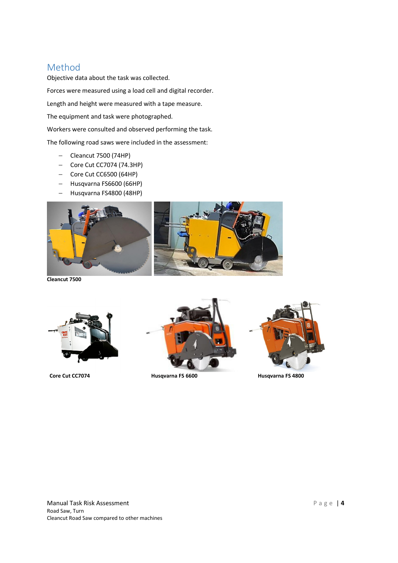# Method

Objective data about the task was collected. Forces were measured using a load cell and digital recorder. Length and height were measured with a tape measure. The equipment and task were photographed.

Workers were consulted and observed performing the task.

The following road saws were included in the assessment:

- − Cleancut 7500 (74HP)
- − Core Cut CC7074 (74.3HP)
- − Core Cut CC6500 (64HP)
- − Husqvarna FS6600 (66HP)
- − Husqvarna FS4800 (48HP)



**Cleancut 7500** 





Core Cut CC7074 **Husqvarna FS 6600** Husqvarna FS 6600 Husqvarna FS 4800

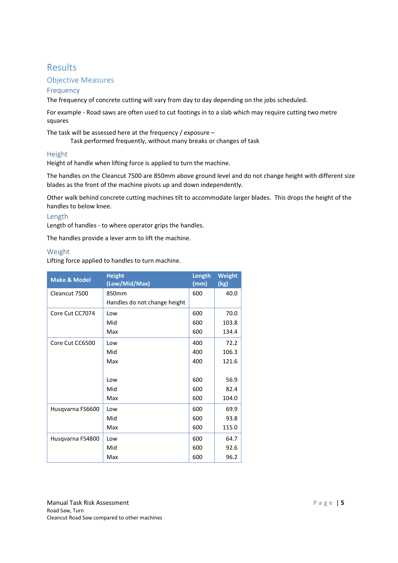# Results

### Objective Measures

#### Frequency

The frequency of concrete cutting will vary from day to day depending on the jobs scheduled.

For example - Road saws are often used to cut footings in to a slab which may require cutting two metre squares

The task will be assessed here at the frequency / exposure –

Task performed frequently, without many breaks or changes of task

#### Height

Height of handle when lifting force is applied to turn the machine.

The handles on the Cleancut 7500 are 850mm above ground level and do not change height with different size blades as the front of the machine pivots up and down independently.

Other walk behind concrete cutting machines tilt to accommodate larger blades. This drops the height of the handles to below knee.

#### Length

Length of handles - to where operator grips the handles.

The handles provide a lever arm to lift the machine.

#### Weight

Lifting force applied to handles to turn machine.

| <b>Make &amp; Model</b> | <b>Height</b><br>(Low/Mid/Max) | Length<br>(mm) | <b>Weight</b><br>(kg) |
|-------------------------|--------------------------------|----------------|-----------------------|
| Cleancut 7500           | 850mm                          | 600            | 40.0                  |
|                         | Handles do not change height   |                |                       |
| Core Cut CC7074         | Low                            | 600            | 70.0                  |
|                         | Mid                            | 600            | 103.8                 |
|                         | Max                            | 600            | 134.4                 |
| Core Cut CC6500         | Low                            | 400            | 72.2                  |
|                         | Mid                            | 400            | 106.3                 |
|                         | Max                            | 400            | 121.6                 |
|                         |                                |                |                       |
|                         | Low                            | 600            | 56.9                  |
|                         | Mid                            | 600            | 82.4                  |
|                         | Max                            | 600            | 104.0                 |
| Husqvarna FS6600        | Low                            | 600            | 69.9                  |
|                         | Mid                            | 600            | 93.8                  |
|                         | Max                            | 600            | 115.0                 |
| Husqvarna FS4800        | Low                            | 600            | 64.7                  |
|                         | Mid                            | 600            | 92.6                  |
|                         | Max                            | 600            | 96.2                  |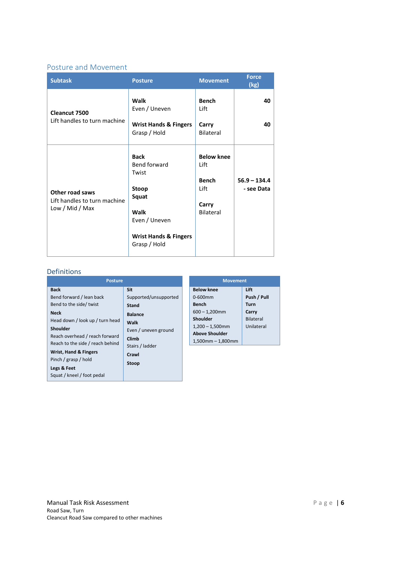## Posture and Movement

| <b>Subtask</b>                                                     | <b>Posture</b>                                                                                                                      | <b>Movement</b>                                                         | <b>Force</b><br>(kg)         |
|--------------------------------------------------------------------|-------------------------------------------------------------------------------------------------------------------------------------|-------------------------------------------------------------------------|------------------------------|
| <b>Cleancut 7500</b><br>Lift handles to turn machine               | Walk<br>Even / Uneven<br><b>Wrist Hands &amp; Fingers</b><br>Grasp / Hold                                                           | <b>Bench</b><br>Lift<br>Carry<br><b>Bilateral</b>                       | 40<br>40                     |
| Other road saws<br>Lift handles to turn machine<br>Low / Mid / Max | <b>Back</b><br>Bend forward<br>Twist<br>Stoop<br>Squat<br>Walk<br>Even / Uneven<br><b>Wrist Hands &amp; Fingers</b><br>Grasp / Hold | <b>Below knee</b><br>Lift<br><b>Bench</b><br>Lift<br>Carry<br>Bilateral | $56.9 - 134.4$<br>- see Data |

# **Definitions**

| <b>Posture</b>                   |                       |  |
|----------------------------------|-----------------------|--|
| <b>Back</b>                      | Sit                   |  |
| Bend forward / lean back         | Supported/unsupported |  |
| Bend to the side/ twist          | Stand                 |  |
| Neck                             | <b>Balance</b>        |  |
| Head down / look up / turn head  | Walk                  |  |
| Shoulder                         | Even / uneven ground  |  |
| Reach overhead / reach forward   | Climb                 |  |
| Reach to the side / reach behind | Stairs / ladder       |  |
| Wrist, Hand & Fingers            | Crawl                 |  |
| Pinch / grasp / hold             | Stoop                 |  |
| Legs & Feet                      |                       |  |
| Squat / kneel / foot pedal       |                       |  |

| <b>Movement</b>        |                  |
|------------------------|------------------|
| <b>Below knee</b>      | Lift             |
| $0 - 600$ mm           | Push / Pull      |
| Bench                  | Turn             |
| $600 - 1,200$ mm       | Carry            |
| Shoulder               | <b>Bilateral</b> |
| $1,200 - 1,500$ mm     | Unilateral       |
| <b>Above Shoulder</b>  |                  |
| $1,500$ mm $-1,800$ mm |                  |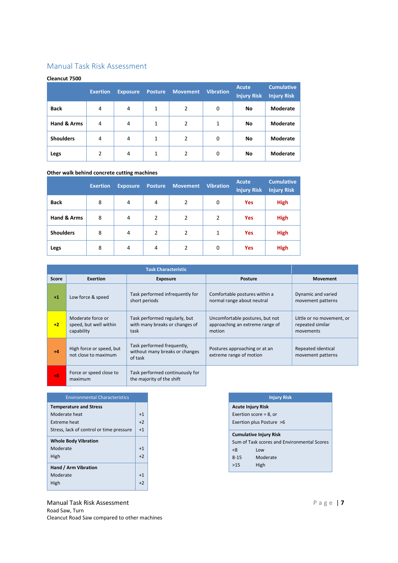# Manual Task Risk Assessment

#### **Cleancut 7500**

|                  | <b>Exertion</b> | <b>Exposure</b> | <b>Posture</b> | <b>Movement</b> | <b>Vibration</b> | <b>Acute</b><br><b>Injury Risk</b> | <b>Cumulative</b><br><b>Injury Risk</b> |
|------------------|-----------------|-----------------|----------------|-----------------|------------------|------------------------------------|-----------------------------------------|
| <b>Back</b>      | 4               | $\overline{4}$  | 1              | 2               | 0                | No                                 | Moderate                                |
| Hand & Arms      | 4               | $\overline{4}$  | 1              | 2               | 1                | <b>No</b>                          | Moderate                                |
| <b>Shoulders</b> | 4               | $\overline{4}$  | $\mathbf{1}$   | 2               | 0                | <b>No</b>                          | Moderate                                |
| Legs             | $\overline{2}$  | 4               | 1              | 2               | 0                | No                                 | Moderate                                |

#### **Other walk behind concrete cutting machines**

|                  | <b>Exertion</b> | <b>Exposure</b> | <b>Posture</b> | <b>Movement</b> | <b>Vibration</b> | <b>Acute</b><br><b>Injury Risk</b> | <b>Cumulative</b><br><b>Injury Risk</b> |
|------------------|-----------------|-----------------|----------------|-----------------|------------------|------------------------------------|-----------------------------------------|
| <b>Back</b>      | 8               | 4               | 4              | 2               | 0                | <b>Yes</b>                         | <b>High</b>                             |
| Hand & Arms      | 8               | 4               | 2              | $\overline{2}$  | 2                | <b>Yes</b>                         | <b>High</b>                             |
| <b>Shoulders</b> | 8               | $\overline{4}$  | $\overline{2}$ | $\overline{2}$  | 1                | <b>Yes</b>                         | <b>High</b>                             |
| Legs             | 8               | $\overline{4}$  | 4              | 2               | 0                | <b>Yes</b>                         | <b>High</b>                             |

|              |                                                           | <b>Task Characteristic</b>                                              |                                                                              |                                                            |
|--------------|-----------------------------------------------------------|-------------------------------------------------------------------------|------------------------------------------------------------------------------|------------------------------------------------------------|
| <b>Score</b> | <b>Exertion</b>                                           | <b>Exposure</b>                                                         | <b>Posture</b>                                                               | <b>Movement</b>                                            |
| $+1$         | Low force & speed                                         | Task performed infrequently for<br>short periods                        | Comfortable postures within a<br>normal range about neutral                  | Dynamic and varied<br>movement patterns                    |
| $+2$         | Moderate force or<br>speed, but well within<br>capability | Task performed regularly, but<br>with many breaks or changes of<br>task | Uncomfortable postures, but not<br>approaching an extreme range of<br>motion | Little or no movement, or<br>repeated similar<br>movements |
| $+4$         | High force or speed, but<br>not close to maximum          | Task performed frequently,<br>without many breaks or changes<br>of task | Postures approaching or at an<br>extreme range of motion                     | Repeated identical<br>movement patterns                    |
| $+8$         | Force or speed close to<br>maximum                        | Task performed continuously for<br>the majority of the shift            |                                                                              |                                                            |

| <b>Environmental Characteristics</b>     |      |
|------------------------------------------|------|
| <b>Temperature and Stress</b>            |      |
| Moderate heat                            | $+1$ |
| <b>Extreme heat</b>                      | $+2$ |
| Stress, lack of control or time pressure | $+1$ |
| <b>Whole Body Vibration</b>              |      |
| Moderate                                 | $+1$ |
| High                                     | $+2$ |
| Hand / Arm Vibration                     |      |
| Moderate                                 | $+1$ |
| High                                     | $+2$ |
|                                          |      |

Manual Task Risk Assessment Road Saw, Turn Cleancut Road Saw compared to other machines

|                           | <b>Injury Risk</b>                          |  |  |  |
|---------------------------|---------------------------------------------|--|--|--|
| <b>Acute Injury Risk</b>  |                                             |  |  |  |
| Exertion score $= 8$ , or |                                             |  |  |  |
| Exertion plus Posture >6  |                                             |  |  |  |
|                           | <b>Cumulative Injury Risk</b>               |  |  |  |
|                           | Sum of Task scores and Environmental Scores |  |  |  |
| <8                        | Low                                         |  |  |  |
| $8 - 15$                  | Moderate                                    |  |  |  |
| >15                       | High                                        |  |  |  |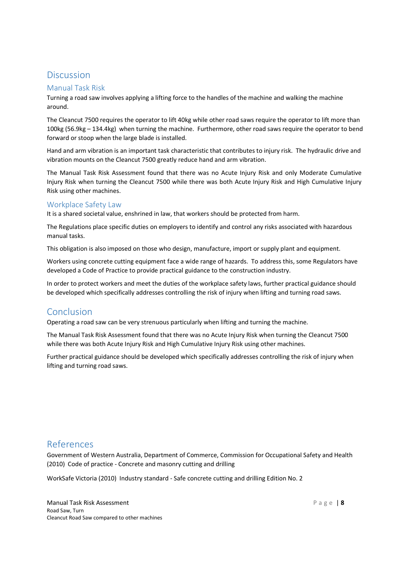# Discussion

### Manual Task Risk

Turning a road saw involves applying a lifting force to the handles of the machine and walking the machine around.

The Cleancut 7500 requires the operator to lift 40kg while other road saws require the operator to lift more than 100kg (56.9kg – 134.4kg) when turning the machine. Furthermore, other road saws require the operator to bend forward or stoop when the large blade is installed.

Hand and arm vibration is an important task characteristic that contributes to injury risk. The hydraulic drive and vibration mounts on the Cleancut 7500 greatly reduce hand and arm vibration.

The Manual Task Risk Assessment found that there was no Acute Injury Risk and only Moderate Cumulative Injury Risk when turning the Cleancut 7500 while there was both Acute Injury Risk and High Cumulative Injury Risk using other machines.

#### Workplace Safety Law

It is a shared societal value, enshrined in law, that workers should be protected from harm.

The Regulations place specific duties on employers to identify and control any risks associated with hazardous manual tasks.

This obligation is also imposed on those who design, manufacture, import or supply plant and equipment.

Workers using concrete cutting equipment face a wide range of hazards. To address this, some Regulators have developed a Code of Practice to provide practical guidance to the construction industry.

In order to protect workers and meet the duties of the workplace safety laws, further practical guidance should be developed which specifically addresses controlling the risk of injury when lifting and turning road saws.

# Conclusion

Operating a road saw can be very strenuous particularly when lifting and turning the machine.

The Manual Task Risk Assessment found that there was no Acute Injury Risk when turning the Cleancut 7500 while there was both Acute Injury Risk and High Cumulative Injury Risk using other machines.

Further practical guidance should be developed which specifically addresses controlling the risk of injury when lifting and turning road saws.

# References

Government of Western Australia, Department of Commerce, Commission for Occupational Safety and Health (2010) Code of practice - Concrete and masonry cutting and drilling

WorkSafe Victoria (2010) Industry standard - Safe concrete cutting and drilling Edition No. 2